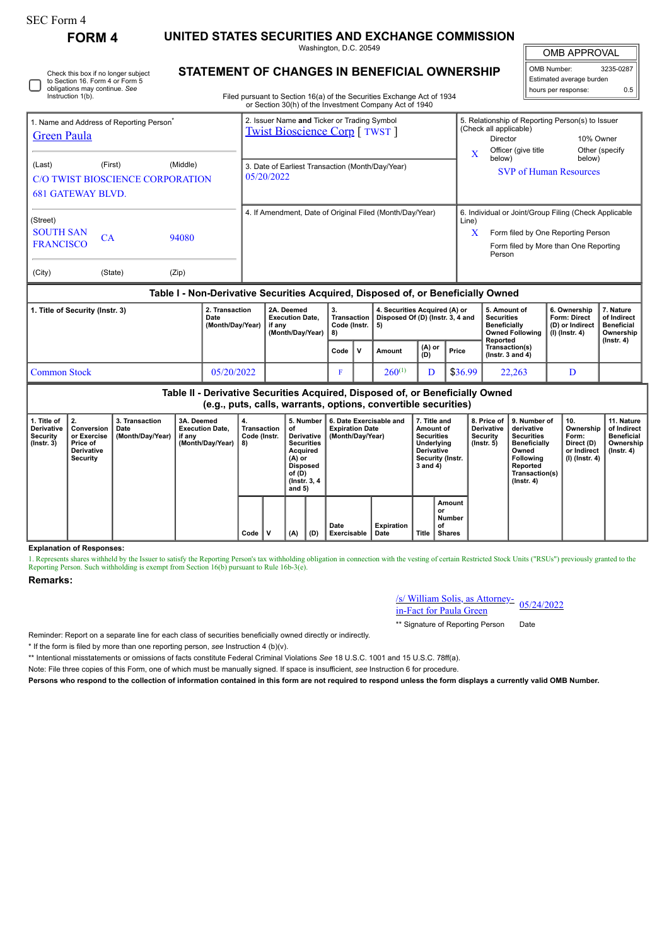| SEC Form 4 |  |
|------------|--|

| 1. Title of<br>3. Transaction<br>2.<br>3A. Deemed<br>Conversion  <br><b>Derivative</b><br>Date<br><b>Execution Date,</b><br><b>Security</b><br>or Exercise<br>(Month/Dav/Year)<br>if anv |                                                    |  |       |  | (e.g., puts, calls, warrants, options, convertible securities)<br>5. Number  <br>6. Date Exercisable and<br>7. Title and<br>4.<br><b>Transaction</b><br>of<br><b>Expiration Date</b><br>Amount of<br>Derivative   (Month/Dav/Year)<br><b>Securities</b><br>Code (Instr. |                                                                |                                                |                     |                                                                         |                                                                                                                                  |               | 8. Price of<br><b>Derivative</b><br><b>Security</b>  | 9. Number of<br>derivative<br><b>Securities</b>                                                           | 10.<br>Ownership<br>Form:                                           | 11. Nature<br>of Indirect<br><b>Beneficial</b>                           |     |  |  |
|------------------------------------------------------------------------------------------------------------------------------------------------------------------------------------------|----------------------------------------------------|--|-------|--|-------------------------------------------------------------------------------------------------------------------------------------------------------------------------------------------------------------------------------------------------------------------------|----------------------------------------------------------------|------------------------------------------------|---------------------|-------------------------------------------------------------------------|----------------------------------------------------------------------------------------------------------------------------------|---------------|------------------------------------------------------|-----------------------------------------------------------------------------------------------------------|---------------------------------------------------------------------|--------------------------------------------------------------------------|-----|--|--|
|                                                                                                                                                                                          |                                                    |  |       |  |                                                                                                                                                                                                                                                                         |                                                                |                                                |                     |                                                                         | Table II - Derivative Securities Acquired, Disposed of, or Beneficially Owned                                                    |               |                                                      |                                                                                                           |                                                                     |                                                                          |     |  |  |
| <b>Common Stock</b><br>05/20/2022                                                                                                                                                        |                                                    |  |       |  |                                                                                                                                                                                                                                                                         |                                                                |                                                | F                   | $260^{(1)}$                                                             |                                                                                                                                  |               | \$36.99                                              | 22,263                                                                                                    |                                                                     | D                                                                        |     |  |  |
|                                                                                                                                                                                          |                                                    |  |       |  |                                                                                                                                                                                                                                                                         |                                                                |                                                | Code<br>$\mathbf v$ |                                                                         | Amount                                                                                                                           | (A) or<br>(D) | Price                                                | Transaction(s)<br>(Instr. $3$ and $4$ )                                                                   |                                                                     |                                                                          |     |  |  |
| 2. Transaction<br>1. Title of Security (Instr. 3)<br>Date<br>(Month/Day/Year)                                                                                                            |                                                    |  |       |  | 2A. Deemed<br><b>Execution Date,</b><br>if any<br>(Month/Day/Year)                                                                                                                                                                                                      |                                                                | 3.<br><b>Transaction</b><br>Code (Instr.<br>8) |                     | 4. Securities Acquired (A) or<br>Disposed Of (D) (Instr. 3, 4 and<br>5) |                                                                                                                                  |               | <b>Securities</b><br><b>Beneficially</b><br>Reported | 5. Amount of<br><b>Owned Following</b>                                                                    | 6. Ownership<br>Form: Direct<br>(D) or Indirect<br>$(I)$ (Instr. 4) | 7. Nature<br>of Indirect<br><b>Beneficial</b><br>Ownership<br>(Instr. 4) |     |  |  |
|                                                                                                                                                                                          |                                                    |  |       |  |                                                                                                                                                                                                                                                                         |                                                                |                                                |                     |                                                                         | Table I - Non-Derivative Securities Acquired, Disposed of, or Beneficially Owned                                                 |               |                                                      |                                                                                                           |                                                                     |                                                                          |     |  |  |
| (City)                                                                                                                                                                                   | (State)                                            |  | (Zip) |  |                                                                                                                                                                                                                                                                         |                                                                |                                                |                     |                                                                         |                                                                                                                                  |               |                                                      |                                                                                                           |                                                                     |                                                                          |     |  |  |
| CA<br>94080<br><b>FRANCISCO</b>                                                                                                                                                          |                                                    |  |       |  |                                                                                                                                                                                                                                                                         |                                                                |                                                |                     |                                                                         |                                                                                                                                  |               |                                                      |                                                                                                           | Form filed by More than One Reporting<br>Person                     |                                                                          |     |  |  |
| (Street)<br><b>SOUTH SAN</b>                                                                                                                                                             |                                                    |  |       |  | 4. If Amendment, Date of Original Filed (Month/Day/Year)                                                                                                                                                                                                                |                                                                |                                                |                     |                                                                         |                                                                                                                                  |               |                                                      | 6. Individual or Joint/Group Filing (Check Applicable<br>Line)<br>Form filed by One Reporting Person<br>X |                                                                     |                                                                          |     |  |  |
|                                                                                                                                                                                          | <b>681 GATEWAY BLVD.</b>                           |  |       |  |                                                                                                                                                                                                                                                                         |                                                                |                                                |                     |                                                                         |                                                                                                                                  |               |                                                      |                                                                                                           |                                                                     |                                                                          |     |  |  |
| (First)<br>(Middle)<br>(Last)<br><b>C/O TWIST BIOSCIENCE CORPORATION</b>                                                                                                                 |                                                    |  |       |  |                                                                                                                                                                                                                                                                         | 3. Date of Earliest Transaction (Month/Day/Year)<br>05/20/2022 |                                                |                     |                                                                         |                                                                                                                                  |               |                                                      |                                                                                                           |                                                                     | <b>SVP</b> of Human Resources                                            |     |  |  |
|                                                                                                                                                                                          |                                                    |  |       |  |                                                                                                                                                                                                                                                                         |                                                                |                                                |                     |                                                                         |                                                                                                                                  |               | $\overline{\mathbf{X}}$<br>below)                    | Officer (give title                                                                                       | Other (specify<br>below)                                            |                                                                          |     |  |  |
| 1. Name and Address of Reporting Person <sup>7</sup><br><b>Green Paula</b>                                                                                                               |                                                    |  |       |  |                                                                                                                                                                                                                                                                         | <b>Twist Bioscience Corp</b> [ TWST ]                          |                                                |                     |                                                                         |                                                                                                                                  |               |                                                      |                                                                                                           | (Check all applicable)<br>10% Owner<br><b>Director</b>              |                                                                          |     |  |  |
|                                                                                                                                                                                          |                                                    |  |       |  |                                                                                                                                                                                                                                                                         |                                                                | 2. Issuer Name and Ticker or Trading Symbol    |                     |                                                                         |                                                                                                                                  |               |                                                      |                                                                                                           |                                                                     | 5. Relationship of Reporting Person(s) to Issuer                         |     |  |  |
|                                                                                                                                                                                          | obligations may continue. See<br>Instruction 1(b). |  |       |  |                                                                                                                                                                                                                                                                         |                                                                |                                                |                     |                                                                         | Filed pursuant to Section 16(a) of the Securities Exchange Act of 1934<br>or Section 30(h) of the Investment Company Act of 1940 |               |                                                      |                                                                                                           |                                                                     | hours per response:                                                      | 0.5 |  |  |
| Check this box if no longer subject<br>to Section 16. Form 4 or Form 5                                                                                                                   |                                                    |  |       |  |                                                                                                                                                                                                                                                                         | STATEMENT OF CHANGES IN BENEFICIAL OWNERSHIP                   |                                                |                     |                                                                         |                                                                                                                                  |               |                                                      |                                                                                                           |                                                                     | OMB Number:<br>3235-0287<br>Estimated average burden                     |     |  |  |
|                                                                                                                                                                                          |                                                    |  |       |  |                                                                                                                                                                                                                                                                         |                                                                | Washington, D.C. 20549                         |                     |                                                                         |                                                                                                                                  |               |                                                      | <b>OMB APPROVAL</b>                                                                                       |                                                                     |                                                                          |     |  |  |

| Derivative<br>Security<br>$($ lnstr. 3 $)$ | Conversion<br>or Exercise<br>Price of<br>Derivative<br>Security | Date<br>(Month/Day/Year) | <b>Execution Date,</b><br>if any<br>(Month/Day/Year) | Transaction Tof<br>Code (Instr.<br>8) |  | Derivative I<br><b>Securities</b><br>Acquired<br>(A) or<br>Disposed<br>of (D)<br>(Instr. 3, 4)<br>and $5)$ |     | <b>Expiration Date</b><br>(Month/Day/Year) | Amount of<br><b>Securities</b><br>Underlying<br><b>Derivative</b><br>Security (Instr.<br>$3$ and $4$ ) |       | Derivative<br>Security<br>$($ lnstr. 5 $)$ | derivative<br><b>Securities</b><br><b>Beneficially</b><br>Owned<br>Following<br>Reported<br>Transaction(s)<br>$($ lnstr. 4 $)$ | Ownership<br>Form:<br>Direct (D)<br>or Indirect<br>(I) (Instr. 4) | l of Indirect<br>Beneficial<br>Ownership<br>(Instr. 4) |
|--------------------------------------------|-----------------------------------------------------------------|--------------------------|------------------------------------------------------|---------------------------------------|--|------------------------------------------------------------------------------------------------------------|-----|--------------------------------------------|--------------------------------------------------------------------------------------------------------|-------|--------------------------------------------|--------------------------------------------------------------------------------------------------------------------------------|-------------------------------------------------------------------|--------------------------------------------------------|
|                                            |                                                                 |                          |                                                      | Code                                  |  | (A)                                                                                                        | (D) | Date<br>Exercisable                        | Expiration<br>Date                                                                                     | Title | Amount<br>or<br>Number<br>οf<br>Shares     |                                                                                                                                |                                                                   |                                                        |

**Explanation of Responses:**

1. Represents shares withheld by the Issuer to satisfy the Reporting Person's tax withholding obligation in connection with the vesting of certain Restricted Stock Units ("RSUs") previously granted to the Reporting Person.

**Remarks:**

## /s/ William Solis, as Attorney- $\frac{\text{is/William Solis, as Attorney}}{\text{in-Fact}}$  05/24/2022

\*\* Signature of Reporting Person Date

Reminder: Report on a separate line for each class of securities beneficially owned directly or indirectly.

\* If the form is filed by more than one reporting person, *see* Instruction 4 (b)(v).

\*\* Intentional misstatements or omissions of facts constitute Federal Criminal Violations *See* 18 U.S.C. 1001 and 15 U.S.C. 78ff(a).

Note: File three copies of this Form, one of which must be manually signed. If space is insufficient, *see* Instruction 6 for procedure.

**Persons who respond to the collection of information contained in this form are not required to respond unless the form displays a currently valid OMB Number.**